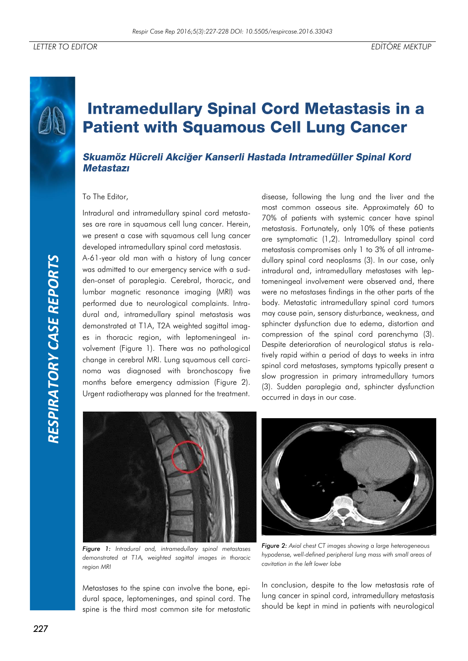# **Intramedullary Spinal Cord Metastasis in a Patient with Squamous Cell Lung Cancer**

## Skuamöz Hücreli Akciğer Kanserli Hastada Intramedüller Spinal Kord **Metastazi**

#### To The Editor,

Intradural and intramedullary spinal cord metastases are rare in squamous cell lung cancer. Herein, we present a case with squamous cell lung cancer developed intramedullary spinal cord metastasis.

A-61-year old man with a history of lung cancer was admitted to our emergency service with a sudden-onset of paraplegia. Cerebral, thoracic, and lumbar magnetic resonance imaging (MRI) was performed due to neurological complaints. Intradural and, intramedullary spinal metastasis was demonstrated at T1A, T2A weighted sagittal images in thoracic region, with leptomeningeal involvement (Figure 1). There was no pathological change in cerebral MRI. Lung squamous cell carcinoma was diagnosed with bronchoscopy five months before emergency admission (Figure 2). Urgent radiotherapy was planned for the treatment.

disease, following the lung and the liver and the most common osseous site. Approximately 60 to 70% of patients with systemic cancer have spinal metastasis. Fortunately, only 10% of these patients are symptomatic (1,2). Intramedullary spinal cord metastasis compromises only 1 to 3% of all intramedullary spinal cord neoplasms (3). In our case, only intradural and, intramedullary metastases with leptomeningeal involvement were observed and, there were no metastases findings in the other parts of the body. Metastatic intramedullary spinal cord tumors may cause pain, sensory disturbance, weakness, and sphincter dysfunction due to edema, distortion and compression of the spinal cord parenchyma (3). Despite deterioration of neurological status is relatively rapid within a period of days to weeks in intra spinal cord metastases, symptoms typically present a slow progression in primary intramedullary tumors (3). Sudden paraplegia and, sphincter dysfunction occurred in days in our case.



*Figure 1: Intradural and, intramedullary spinal metastases demonstrated at T1A, weighted sagittal images in thoracic region MRI*

Metastases to the spine can involve the bone, epidural space, leptomeninges, and spinal cord. The spine is the third most common site for metastatic



*Figure 2: Axial chest CT images showing a large heterogeneous hypodense, well-defined peripheral lung mass with small areas of cavitation in the left lower lobe*

In conclusion, despite to the low metastasis rate of lung cancer in spinal cord, intramedullary metastasis should be kept in mind in patients with neurological